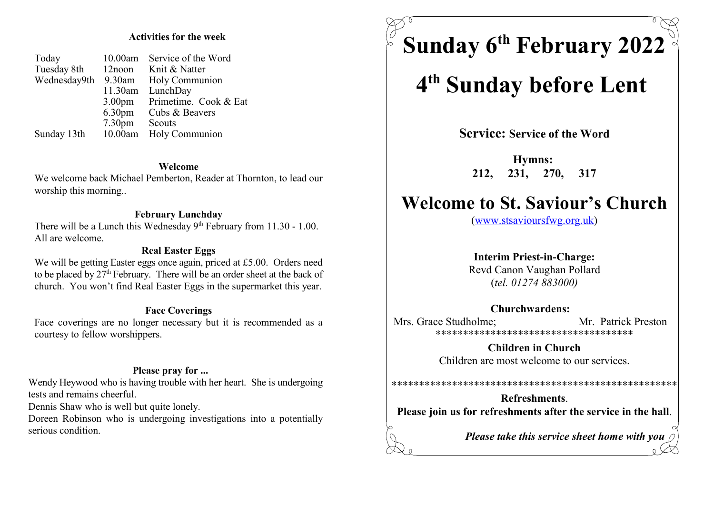### Activities for the week

| Today<br>Tuesday 8th<br>Wednesday9th | 10.00am<br>$12$ noon<br>$9.30$ am<br>11.30am<br>3.00 <sub>pm</sub><br>6.30 <sub>pm</sub><br>7.30 <sub>pm</sub> | Service of the Word<br>Knit & Natter<br>Holy Communion<br>LunchDay<br>Primetime. Cook & Eat<br>Cubs & Beavers<br>Scouts |
|--------------------------------------|----------------------------------------------------------------------------------------------------------------|-------------------------------------------------------------------------------------------------------------------------|
| Sunday 13th                          | 10.00am                                                                                                        | Holy Communion                                                                                                          |

### Welcome

We welcome back Michael Pemberton, Reader at Thornton, to lead our worship this morning..

### February Lunchday

There will be a Lunch this Wednesday  $9<sup>th</sup>$  February from 11.30 - 1.00. All are welcome.

### Real Easter Eggs

We will be getting Easter eggs once again, priced at £5.00. Orders need to be placed by  $27<sup>th</sup>$  February. There will be an order sheet at the back of church. You won't find Real Easter Eggs in the supermarket this year.

### Face Coverings

Face coverings are no longer necessary but it is recommended as a courtesy to fellow worshippers.

### Please pray for ...

Wendy Heywood who is having trouble with her heart. She is undergoing tests and remains cheerful.

Dennis Shaw who is well but quite lonely.

Doreen Robinson who is undergoing investigations into a potentially serious condition

Sunday  $6<sup>th</sup>$  February 2022

# 4<sup>th</sup> Sunday before Lent

Service: Service of the Word

Hymns: 212, 231, 270, 317

## Welcome to St. Saviour's Church

(www.stsavioursfwg.org.uk)

### Interim Priest-in-Charge:

Revd Canon Vaughan Pollard (tel. 01274 883000)

### Churchwardens:

Mrs. Grace Studholme: Mr. Patrick Preston \*\*\*\*\*\*\*\*\*\*\*\*\*\*\*\*\*\*\*\*\*\*\*\*\*\*\*\*\*\*\*\*\*\*\*\*

> Children in Church Children are most welcome to our services.

\*\*\*\*\*\*\*\*\*\*\*\*\*\*\*\*\*\*\*\*\*\*\*\*\*\*\*\*\*\*\*\*\*\*\*\*\*\*\*\*\*\*\*\*\*\*\*\*\*\*\*\*

Refreshments. Please join us for refreshments after the service in the hall.

Please take this service sheet home with you